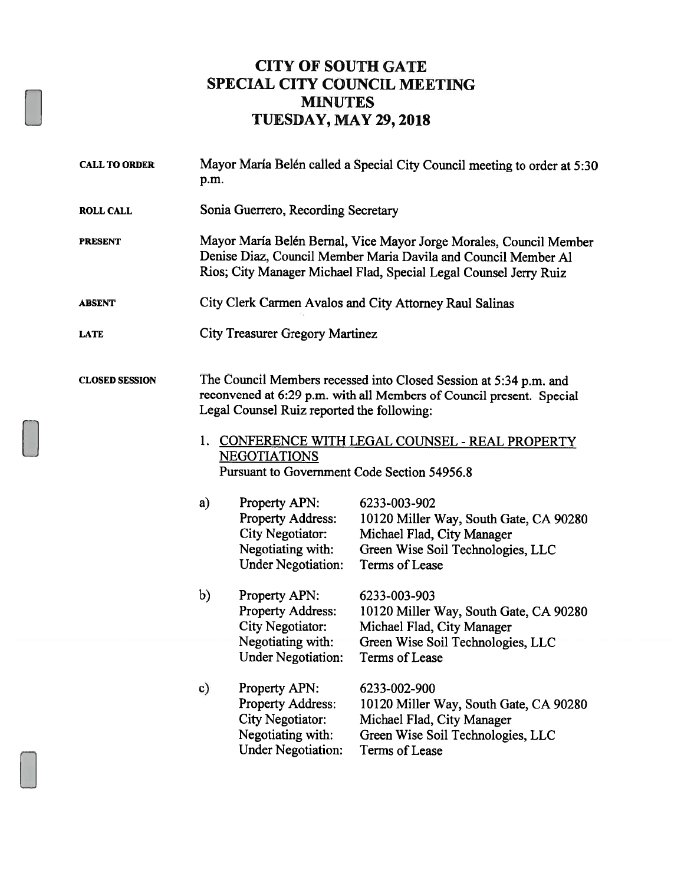## CITY OF SOUTH GATE SPECIAL CITY COUNCIL MEETING MINUTES TUESDAY, MAY 29,2018

| <b>CALL TO ORDER</b>  | Mayor María Belén called a Special City Council meeting to order at 5:30<br>p.m.                                                                                                                                                                                                                                  |                                                                                                                                             |
|-----------------------|-------------------------------------------------------------------------------------------------------------------------------------------------------------------------------------------------------------------------------------------------------------------------------------------------------------------|---------------------------------------------------------------------------------------------------------------------------------------------|
| <b>ROLL CALL</b>      | Sonia Guerrero, Recording Secretary                                                                                                                                                                                                                                                                               |                                                                                                                                             |
| <b>PRESENT</b>        | Mayor María Belén Bernal, Vice Mayor Jorge Morales, Council Member<br>Denise Diaz, Council Member Maria Davila and Council Member Al<br>Rios; City Manager Michael Flad, Special Legal Counsel Jerry Ruiz                                                                                                         |                                                                                                                                             |
| <b>ABSENT</b>         | City Clerk Carmen Avalos and City Attorney Raul Salinas                                                                                                                                                                                                                                                           |                                                                                                                                             |
| <b>LATE</b>           | <b>City Treasurer Gregory Martinez</b>                                                                                                                                                                                                                                                                            |                                                                                                                                             |
| <b>CLOSED SESSION</b> | The Council Members recessed into Closed Session at 5:34 p.m. and<br>reconvened at 6:29 p.m. with all Members of Council present. Special<br>Legal Counsel Ruiz reported the following:<br>1. CONFERENCE WITH LEGAL COUNSEL - REAL PROPERTY<br><b>NEGOTIATIONS</b><br>Pursuant to Government Code Section 54956.8 |                                                                                                                                             |
|                       | a)<br>Property APN:<br><b>Property Address:</b><br><b>City Negotiator:</b><br>Negotiating with:<br><b>Under Negotiation:</b>                                                                                                                                                                                      | 6233-003-902<br>10120 Miller Way, South Gate, CA 90280<br>Michael Flad, City Manager<br>Green Wise Soil Technologies, LLC<br>Terms of Lease |
|                       | b)<br>Property APN:<br>Property Address:<br><b>City Negotiator:</b><br>Negotiating with:<br><b>Under Negotiation:</b>                                                                                                                                                                                             | 6233-003-903<br>10120 Miller Way, South Gate, CA 90280<br>Michael Flad, City Manager<br>Green Wise Soil Technologies, LLC<br>Terms of Lease |
|                       | c)<br>Property APN:<br><b>Property Address:</b><br><b>City Negotiator:</b><br>Negotiating with:<br><b>Under Negotiation:</b>                                                                                                                                                                                      | 6233-002-900<br>10120 Miller Way, South Gate, CA 90280<br>Michael Flad, City Manager<br>Green Wise Soil Technologies, LLC<br>Terms of Lease |